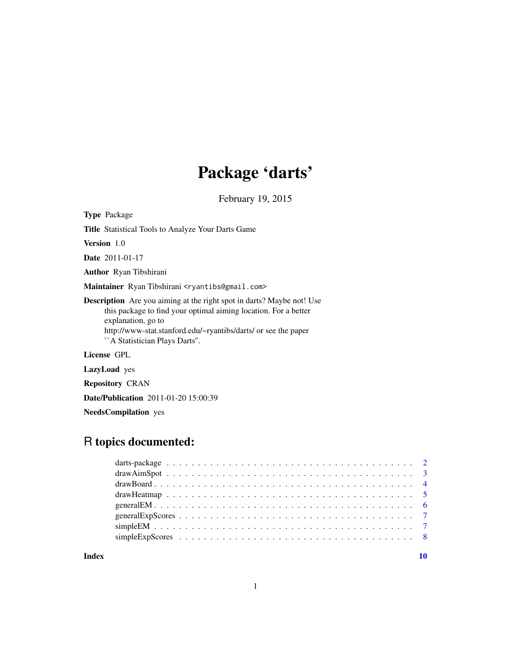## Package 'darts'

February 19, 2015

Type Package

Title Statistical Tools to Analyze Your Darts Game

Version 1.0

Date 2011-01-17

Author Ryan Tibshirani

Maintainer Ryan Tibshirani <ryantibs@gmail.com>

Description Are you aiming at the right spot in darts? Maybe not! Use this package to find your optimal aiming location. For a better explanation, go to http://www-stat.stanford.edu/~ryantibs/darts/ or see the paper ``A Statistician Plays Darts''.

License GPL

LazyLoad yes

Repository CRAN

Date/Publication 2011-01-20 15:00:39

NeedsCompilation yes

### R topics documented:

 $\blacksquare$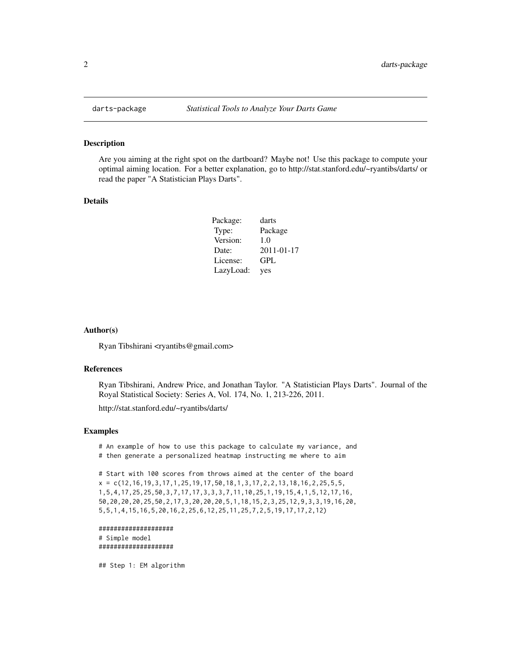#### Description

Are you aiming at the right spot on the dartboard? Maybe not! Use this package to compute your optimal aiming location. For a better explanation, go to http://stat.stanford.edu/~ryantibs/darts/ or read the paper "A Statistician Plays Darts".

#### Details

| Package:  | darts            |
|-----------|------------------|
| Type:     | Package          |
| Version:  | 1.0              |
| Date:     | $2011 - 01 - 17$ |
| License:  | GPL              |
| LazyLoad: | yes              |

#### Author(s)

Ryan Tibshirani <ryantibs@gmail.com>

#### References

Ryan Tibshirani, Andrew Price, and Jonathan Taylor. "A Statistician Plays Darts". Journal of the Royal Statistical Society: Series A, Vol. 174, No. 1, 213-226, 2011.

http://stat.stanford.edu/~ryantibs/darts/

#### Examples

# An example of how to use this package to calculate my variance, and # then generate a personalized heatmap instructing me where to aim

# Start with 100 scores from throws aimed at the center of the board  $x = c(12, 16, 19, 3, 17, 1, 25, 19, 17, 50, 18, 1, 3, 17, 2, 2, 13, 18, 16, 2, 25, 5, 5,$ 1,5,4,17,25,25,50,3,7,17,17,3,3,3,7,11,10,25,1,19,15,4,1,5,12,17,16, 50,20,20,20,25,50,2,17,3,20,20,20,5,1,18,15,2,3,25,12,9,3,3,19,16,20, 5,5,1,4,15,16,5,20,16,2,25,6,12,25,11,25,7,2,5,19,17,17,2,12)

```
####################
# Simple model
####################
```
## Step 1: EM algorithm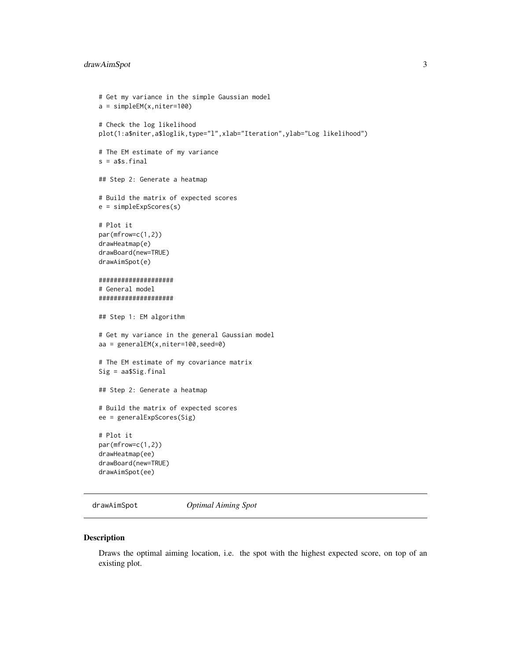#### <span id="page-2-0"></span>drawAimSpot 3

```
# Get my variance in the simple Gaussian model
a = simpleEM(x,niter=100)
# Check the log likelihood
plot(1:a$niter,a$loglik,type="l",xlab="Iteration",ylab="Log likelihood")
# The EM estimate of my variance
s = a$s.final
## Step 2: Generate a heatmap
# Build the matrix of expected scores
e = simpleExpScores(s)
# Plot it
par(mfrow=c(1,2))
drawHeatmap(e)
drawBoard(new=TRUE)
drawAimSpot(e)
####################
# General model
####################
## Step 1: EM algorithm
# Get my variance in the general Gaussian model
aa = generalEM(x,niter=100,seed=0)
# The EM estimate of my covariance matrix
Sig = aa$Sig.final
## Step 2: Generate a heatmap
# Build the matrix of expected scores
ee = generalExpScores(Sig)
# Plot it
par(mfrow=c(1,2))
drawHeatmap(ee)
drawBoard(new=TRUE)
drawAimSpot(ee)
```
drawAimSpot *Optimal Aiming Spot*

#### Description

Draws the optimal aiming location, i.e. the spot with the highest expected score, on top of an existing plot.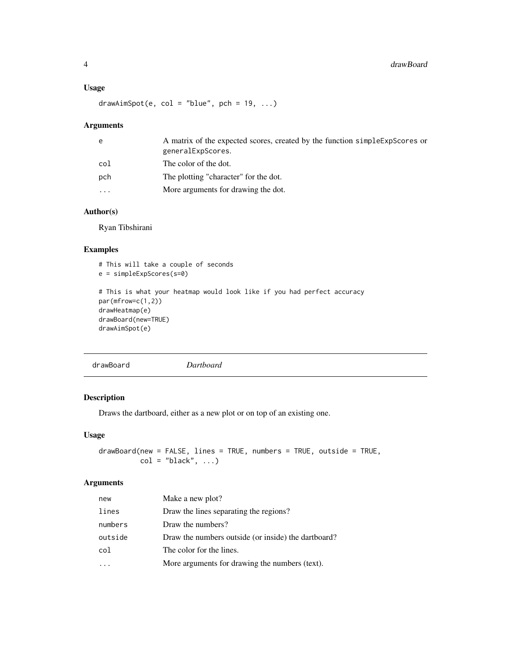#### <span id="page-3-0"></span>Usage

 $drawAimspot(e, col = "blue", pch = 19, ...)$ 

#### Arguments

| e        | A matrix of the expected scores, created by the function simple ExpScores or<br>generalExpScores. |
|----------|---------------------------------------------------------------------------------------------------|
| col      | The color of the dot.                                                                             |
| pch      | The plotting "character" for the dot.                                                             |
| $\cdots$ | More arguments for drawing the dot.                                                               |
|          |                                                                                                   |

#### Author(s)

Ryan Tibshirani

#### Examples

```
# This will take a couple of seconds
e = simpleExpScores(s=0)
# This is what your heatmap would look like if you had perfect accuracy
par(mfrow=c(1,2))
drawHeatmap(e)
drawBoard(new=TRUE)
drawAimSpot(e)
```
drawBoard *Dartboard*

#### Description

Draws the dartboard, either as a new plot or on top of an existing one.

#### Usage

drawBoard(new = FALSE, lines = TRUE, numbers = TRUE, outside = TRUE,  $col = "black", ...)$ 

#### Arguments

| new     | Make a new plot?                                    |
|---------|-----------------------------------------------------|
| lines   | Draw the lines separating the regions?              |
| numbers | Draw the numbers?                                   |
| outside | Draw the numbers outside (or inside) the dartboard? |
| col     | The color for the lines.                            |
|         | More arguments for drawing the numbers (text).      |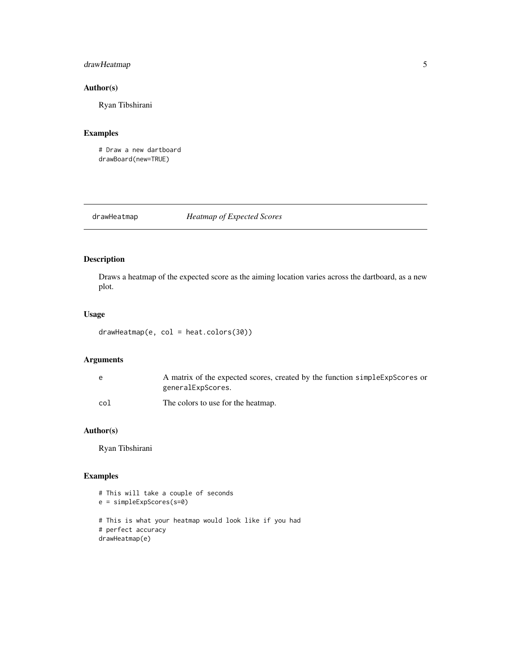#### <span id="page-4-0"></span>drawHeatmap 5

#### Author(s)

Ryan Tibshirani

#### Examples

# Draw a new dartboard drawBoard(new=TRUE)

drawHeatmap *Heatmap of Expected Scores*

#### Description

Draws a heatmap of the expected score as the aiming location varies across the dartboard, as a new plot.

#### Usage

```
drawHeatmap(e, col = heat.colors(30))
```
#### Arguments

| e   | A matrix of the expected scores, created by the function simple ExpScores or<br>generalExpScores. |
|-----|---------------------------------------------------------------------------------------------------|
| col | The colors to use for the heatmap.                                                                |

#### Author(s)

Ryan Tibshirani

#### Examples

```
# This will take a couple of seconds
e = simpleExpScores(s=0)
# This is what your heatmap would look like if you had
# perfect accuracy
drawHeatmap(e)
```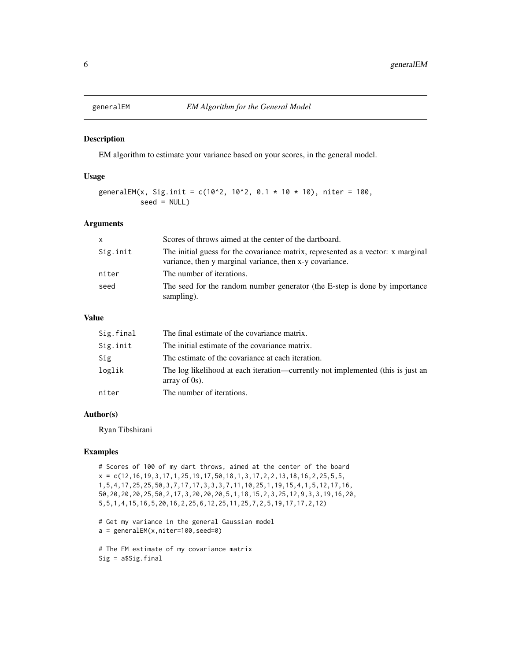<span id="page-5-0"></span>

#### Description

EM algorithm to estimate your variance based on your scores, in the general model.

#### Usage

```
generalEM(x, Sig.init = c(10^2, 10^2, 0.1 \times 10 \times 10), niter = 100,
           seed = NULL)
```
#### Arguments

| $\mathsf{x}$ | Scores of throws aimed at the center of the dartboard.                                                                                       |
|--------------|----------------------------------------------------------------------------------------------------------------------------------------------|
| Sig.init     | The initial guess for the covariance matrix, represented as a vector: x marginal<br>variance, then y marginal variance, then x-y covariance. |
| niter        | The number of iterations.                                                                                                                    |
| seed         | The seed for the random number generator (the E-step is done by importance<br>sampling).                                                     |

#### Value

| Sig.final | The final estimate of the covariance matrix.                                                        |
|-----------|-----------------------------------------------------------------------------------------------------|
| Sig.init  | The initial estimate of the covariance matrix.                                                      |
| Sig       | The estimate of the covariance at each iteration.                                                   |
| loglik    | The log likelihood at each iteration—currently not implemented (this is just an<br>array of $0s$ ). |
| niter     | The number of iterations.                                                                           |

#### Author(s)

Ryan Tibshirani

#### Examples

# Scores of 100 of my dart throws, aimed at the center of the board  $x = c(12, 16, 19, 3, 17, 1, 25, 19, 17, 50, 18, 1, 3, 17, 2, 2, 13, 18, 16, 2, 25, 5, 5,$ 1,5,4,17,25,25,50,3,7,17,17,3,3,3,7,11,10,25,1,19,15,4,1,5,12,17,16, 50,20,20,20,25,50,2,17,3,20,20,20,5,1,18,15,2,3,25,12,9,3,3,19,16,20, 5,5,1,4,15,16,5,20,16,2,25,6,12,25,11,25,7,2,5,19,17,17,2,12)

```
# Get my variance in the general Gaussian model
a = generalEM(x,niter=100,seed=0)
```
# The EM estimate of my covariance matrix Sig = a\$Sig.final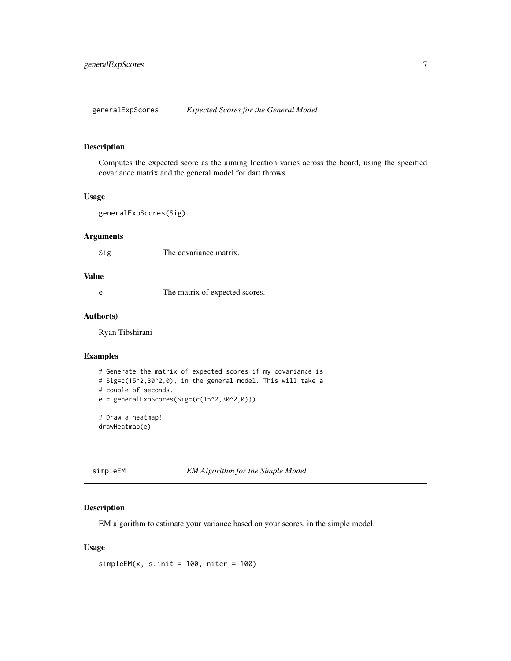<span id="page-6-0"></span>generalExpScores *Expected Scores for the General Model*

#### Description

Computes the expected score as the aiming location varies across the board, using the specified covariance matrix and the general model for dart throws.

#### Usage

```
generalExpScores(Sig)
```
#### Arguments

Sig The covariance matrix.

#### Value

e The matrix of expected scores.

#### Author(s)

Ryan Tibshirani

#### Examples

```
# Generate the matrix of expected scores if my covariance is
# Sig=c(15^2,30^2,0), in the general model. This will take a
# couple of seconds.
e = generalExpScores(Sig = (c(15<sup>2</sup>, 30<sup>2</sup>, 0)))# Draw a heatmap!
drawHeatmap(e)
```
simpleEM *EM Algorithm for the Simple Model*

#### Description

EM algorithm to estimate your variance based on your scores, in the simple model.

#### Usage

 $simpleEM(x, s.init = 100, niter = 100)$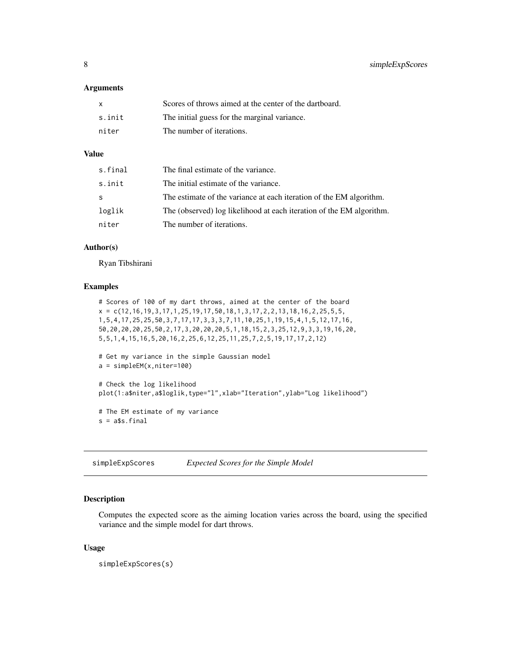<span id="page-7-0"></span>8 simpleExpScores

#### **Arguments**

| x      | Scores of throws aimed at the center of the dartboard. |
|--------|--------------------------------------------------------|
| s.init | The initial guess for the marginal variance.           |
| niter  | The number of iterations.                              |

#### Value

| s.final | The final estimate of the variance.                                  |
|---------|----------------------------------------------------------------------|
| s.init  | The initial estimate of the variance.                                |
| S       | The estimate of the variance at each iteration of the EM algorithm.  |
| loglik  | The (observed) log likelihood at each iteration of the EM algorithm. |
| niter   | The number of iterations.                                            |

#### Author(s)

Ryan Tibshirani

#### Examples

```
# Scores of 100 of my dart throws, aimed at the center of the board
x = c(12, 16, 19, 3, 17, 1, 25, 19, 17, 50, 18, 1, 3, 17, 2, 2, 13, 18, 16, 2, 25, 5, 5,1,5,4,17,25,25,50,3,7,17,17,3,3,3,7,11,10,25,1,19,15,4,1,5,12,17,16,
50,20,20,20,25,50,2,17,3,20,20,20,5,1,18,15,2,3,25,12,9,3,3,19,16,20,
5,5,1,4,15,16,5,20,16,2,25,6,12,25,11,25,7,2,5,19,17,17,2,12)
# Get my variance in the simple Gaussian model
a = simpleEM(x,niter=100)# Check the log likelihood
plot(1:a$niter,a$loglik,type="l",xlab="Iteration",ylab="Log likelihood")
# The EM estimate of my variance
s = a$s.final
```
simpleExpScores *Expected Scores for the Simple Model*

#### Description

Computes the expected score as the aiming location varies across the board, using the specified variance and the simple model for dart throws.

#### Usage

simpleExpScores(s)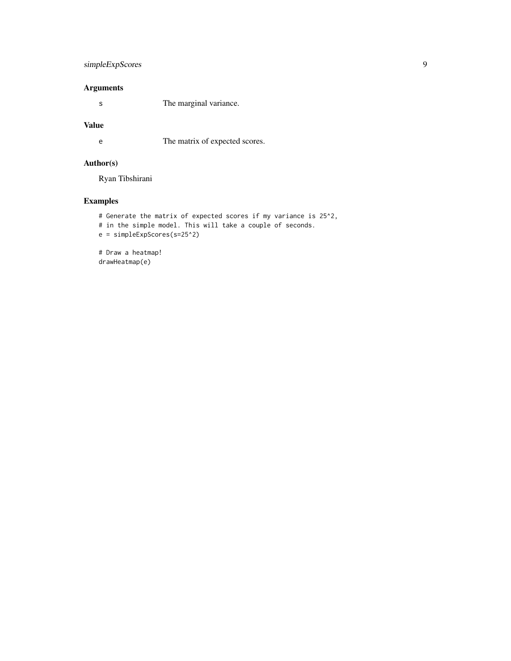#### simpleExpScores 9

#### Arguments

s The marginal variance.

#### Value

e The matrix of expected scores.

#### Author(s)

Ryan Tibshirani

#### Examples

```
# Generate the matrix of expected scores if my variance is 25^2,
# in the simple model. This will take a couple of seconds.
e = simpleExpScores(s=25^2)
# Draw a heatmap!
```
drawHeatmap(e)